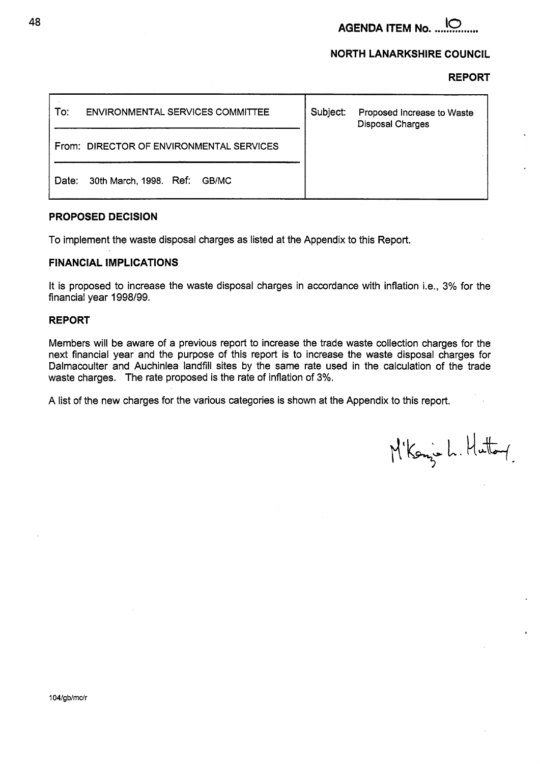**AGENDA ITEM No.** ......... **38** 

# **NORTH LANARKSHIRE COUNCIL**

#### **REPORT**

| To:   | <b>ENVIRONMENTAL SERVICES COMMITTEE</b> | Subject: | Proposed Increase to Waste<br><b>Disposal Charges</b> |
|-------|-----------------------------------------|----------|-------------------------------------------------------|
| From: | DIRECTOR OF ENVIRONMENTAL SERVICES      |          |                                                       |
| Date: | 30th March, 1998. Ref:<br>GB/MC         |          |                                                       |

### **PROPOSED DECISION**

To implement the waste disposal charges as listed at the Appendix to this Report.

### **FINANCIAL IMPLICATIONS**

It is proposed to increase the waste disposal charges in accordance with inflation i.e., 3% for the financial year **1998/99.** 

### **REPORT**

Members will be aware of a previous report to increase the trade waste collection charges for the next financial year and the purpose of this report is to increase the waste disposal charges for Dalmacoulter and Auchinlea landfill sites by the same rate used in the calculation of the trade waste charges. The rate proposed is the rate of inflation of 3%.

A list of the new charges for the various categories is shown at the Appendix to this report.

M'Konje L. Huttory

,